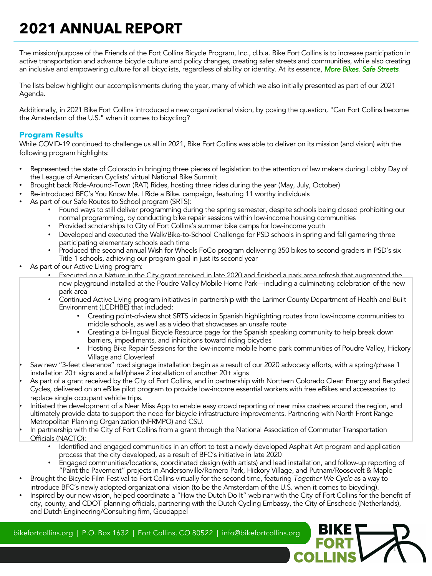# **2021 ANNUAL REPORT**

The mission/purpose of the Friends of the Fort Collins Bicycle Program, Inc., d.b.a. Bike Fort Collins is to increase participation in active transportation and advance bicycle culture and policy changes, creating safer streets and communities, while also creating an inclusive and empowering culture for all bicyclists, regardless of ability or identity. At its essence, *More Bikes. Safe Streets*.

The lists below highlight our accomplishments during the year, many of which we also initially presented as part of our 2021 Agenda.

Additionally, in 2021 Bike Fort Collins introduced a new organizational vision, by posing the question, "Can Fort Collins become the Amsterdam of the U.S." when it comes to bicycling?

#### **Program Results**

While COVID-19 continued to challenge us all in 2021, Bike Fort Collins was able to deliver on its mission (and vision) with the following program highlights:

- Represented the state of Colorado in bringing three pieces of legislation to the attention of law makers during Lobby Day of the League of American Cyclists' virtual National Bike Summit
- Brought back Ride-Around-Town (RAT) Rides, hosting three rides during the year (May, July, October)
- Re-introduced BFC's You Know Me. I Ride a Bike. campaign, featuring 11 worthy individuals
- As part of our Safe Routes to School program (SRTS):
	- Found ways to still deliver programming during the spring semester, despite schools being closed prohibiting our normal programming, by conducting bike repair sessions within low-income housing communities
	- Provided scholarships to City of Fort Collins's summer bike camps for low-income youth
	- Developed and executed the Walk/Bike-to-School Challenge for PSD schools in spring and fall garnering three participating elementary schools each time
	- Produced the second annual Wish for Wheels FoCo program delivering 350 bikes to second-graders in PSD's six Title 1 schools, achieving our program goal in just its second year
- As part of our Active Living program:
	- Executed on a Nature in the City grant received in late 2020 and finished a park area refresh that augmented the new playground installed at the Poudre Valley Mobile Home Park—including a culminating celebration of the new park area
	- Continued Active Living program initiatives in partnership with the Larimer County Department of Health and Built Environment (LCDHBE) that included:
		- Creating point-of-view shot SRTS videos in Spanish highlighting routes from low-income communities to middle schools, as well as a video that showcases an unsafe route
		- Creating a bi-lingual Bicycle Resource page for the Spanish speaking community to help break down barriers, impediments, and inhibitions toward riding bicycles
		- Hosting Bike Repair Sessions for the low-income mobile home park communities of Poudre Valley, Hickory Village and Cloverleaf
- Saw new "3-feet clearance" road signage installation begin as a result of our 2020 advocacy efforts, with a spring/phase 1 installation 20+ signs and a fall/phase 2 installation of another 20+ signs
- As part of a grant received by the City of Fort Collins, and in partnership with Northern Colorado Clean Energy and Recycled Cycles, delivered on an eBike pilot program to provide low-income essential workers with free eBikes and accessories to replace single occupant vehicle trips.
- Initiated the development of a Near Miss App to enable easy crowd reporting of near miss crashes around the region, and ultimately provide data to support the need for bicycle infrastructure improvements. Partnering with North Front Range Metropolitan Planning Organization (NFRMPO) and CSU.
- In partnership with the City of Fort Collins from a grant through the National Association of Commuter Transportation Officials (NACTO):
	- Identified and engaged communities in an effort to test a newly developed Asphalt Art program and application process that the city developed, as a result of BFC's initiative in late 2020
	- Engaged communities/locations, coordinated design (with artists) and lead installation, and follow-up reporting of "Paint the Pavement" projects in Andersonville/Romero Park, Hickory Village, and Putnam/Roosevelt & Maple

1

- Brought the Bicycle Film Festival to Fort Collins virtually for the second time, featuring *Together We Cycle* as a way to introduce BFC's newly adopted organizational vision (to be the Amsterdam of the U.S. when it comes to bicycling).
- Inspired by our new vision, helped coordinate a "How the Dutch Do It" webinar with the City of Fort Collins for the benefit of city, county, and CDOT planning officials, partnering with the Dutch Cycling Embassy, the City of Enschede (Netherlands), and Dutch Engineering/Consulting firm, Goudappel

bikefortcollins.org | P.O. Box 1632 | Fort Collins, CO 80522 | info@bikefortcollins.org